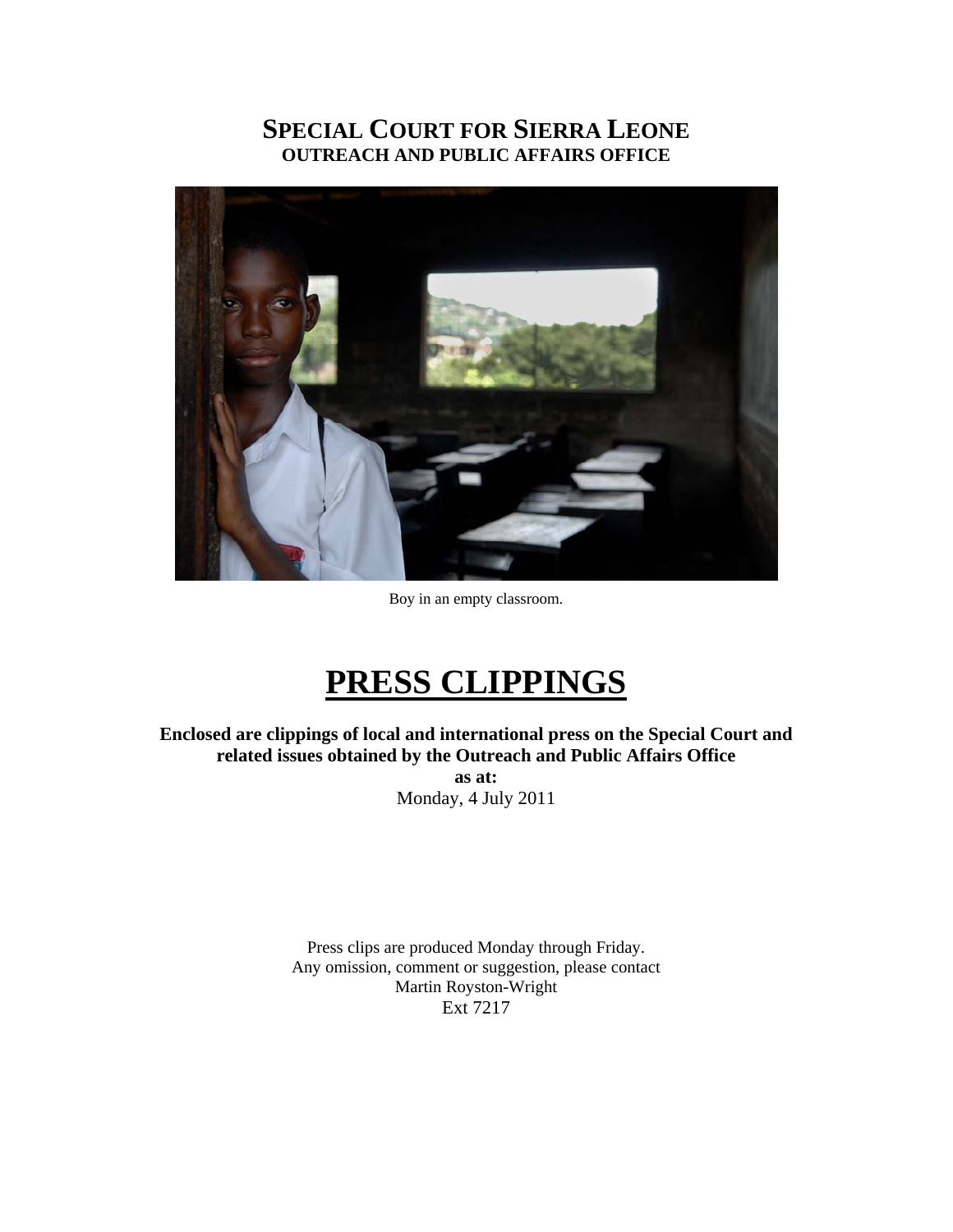### **SPECIAL COURT FOR SIERRA LEONE OUTREACH AND PUBLIC AFFAIRS OFFICE**



Boy in an empty classroom.

## **PRESS CLIPPINGS**

**Enclosed are clippings of local and international press on the Special Court and related issues obtained by the Outreach and Public Affairs Office as at:**  Monday, 4 July 2011

> Press clips are produced Monday through Friday. Any omission, comment or suggestion, please contact Martin Royston-Wright Ext 7217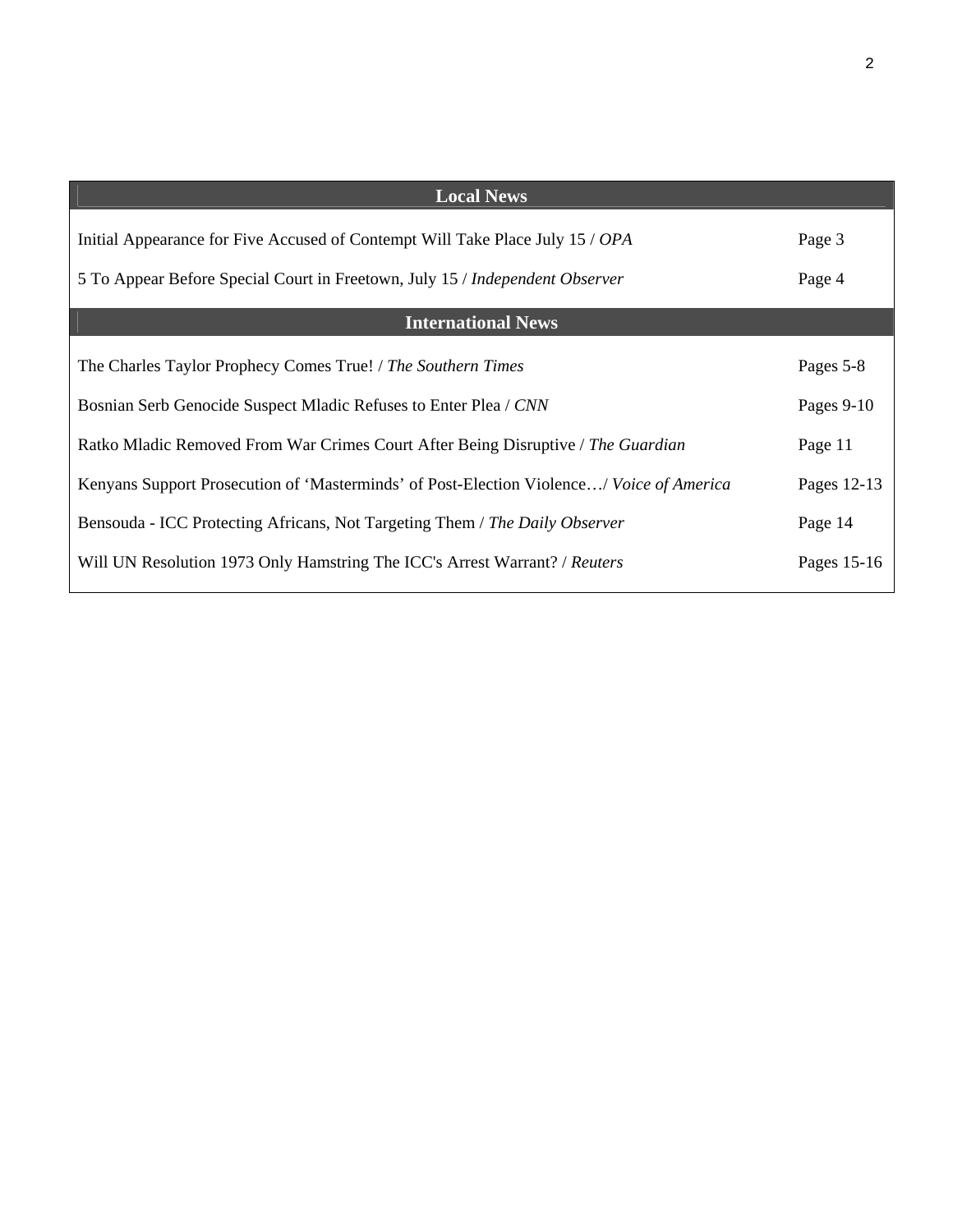| <b>Local News</b>                                                                        |             |
|------------------------------------------------------------------------------------------|-------------|
| Initial Appearance for Five Accused of Contempt Will Take Place July 15 / OPA            | Page 3      |
| 5 To Appear Before Special Court in Freetown, July 15 / Independent Observer             | Page 4      |
| <b>International News</b>                                                                |             |
| The Charles Taylor Prophecy Comes True! / The Southern Times                             | Pages 5-8   |
| Bosnian Serb Genocide Suspect Mladic Refuses to Enter Plea / CNN                         | Pages 9-10  |
| Ratko Mladic Removed From War Crimes Court After Being Disruptive / The Guardian         | Page 11     |
| Kenyans Support Prosecution of 'Masterminds' of Post-Election Violence/ Voice of America | Pages 12-13 |
| Bensouda - ICC Protecting Africans, Not Targeting Them / The Daily Observer              | Page 14     |
| Will UN Resolution 1973 Only Hamstring The ICC's Arrest Warrant? / Reuters               | Pages 15-16 |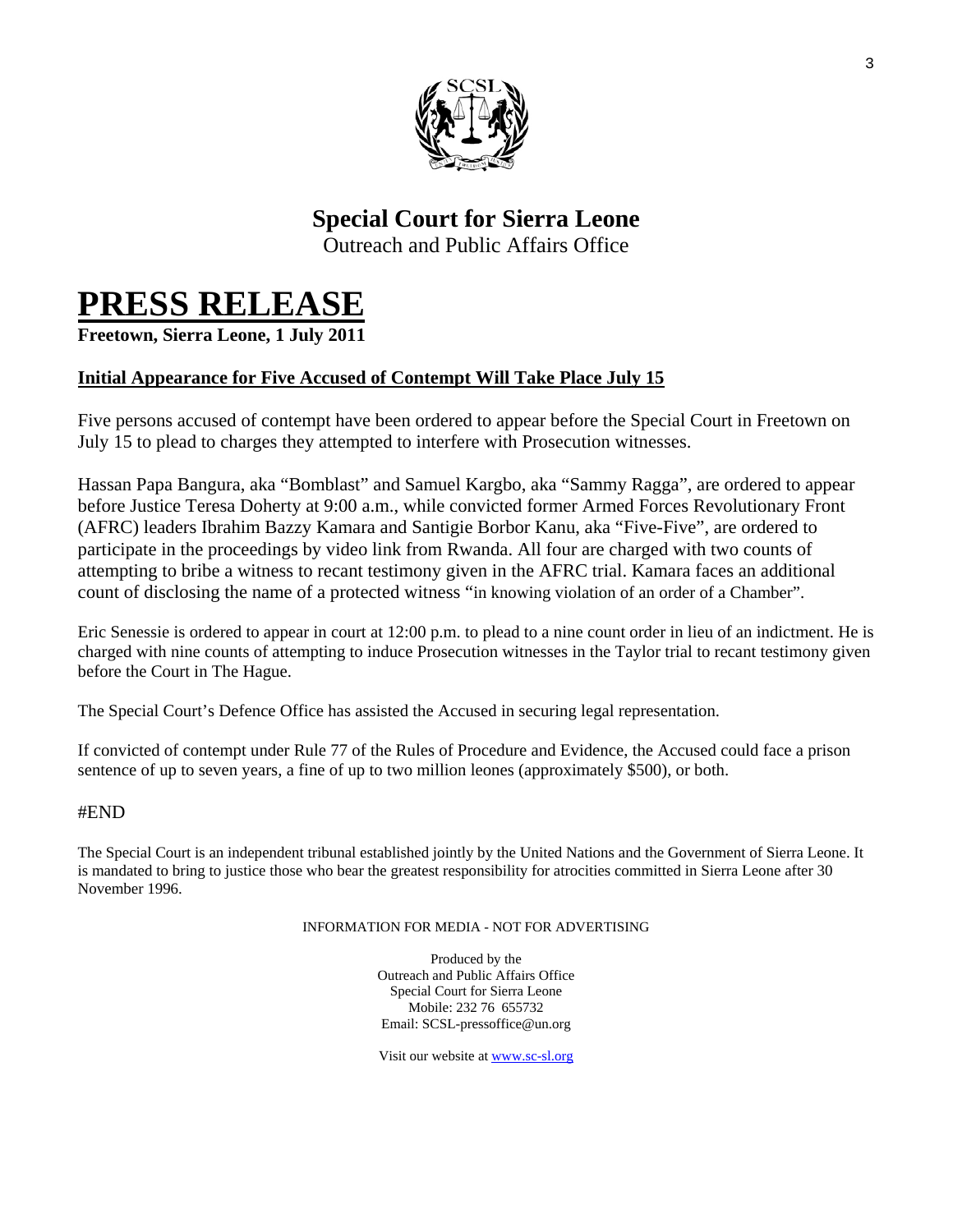

## **Special Court for Sierra Leone**

Outreach and Public Affairs Office

# **PRESS RELEASE Freetown, Sierra Leone, 1 July 2011**

#### **Initial Appearance for Five Accused of Contempt Will Take Place July 15**

Five persons accused of contempt have been ordered to appear before the Special Court in Freetown on July 15 to plead to charges they attempted to interfere with Prosecution witnesses.

Hassan Papa Bangura, aka "Bomblast" and Samuel Kargbo, aka "Sammy Ragga", are ordered to appear before Justice Teresa Doherty at 9:00 a.m., while convicted former Armed Forces Revolutionary Front (AFRC) leaders Ibrahim Bazzy Kamara and Santigie Borbor Kanu, aka "Five-Five", are ordered to participate in the proceedings by video link from Rwanda. All four are charged with two counts of attempting to bribe a witness to recant testimony given in the AFRC trial. Kamara faces an additional count of disclosing the name of a protected witness "in knowing violation of an order of a Chamber".

Eric Senessie is ordered to appear in court at 12:00 p.m. to plead to a nine count order in lieu of an indictment. He is charged with nine counts of attempting to induce Prosecution witnesses in the Taylor trial to recant testimony given before the Court in The Hague.

The Special Court's Defence Office has assisted the Accused in securing legal representation.

If convicted of contempt under Rule 77 of the Rules of Procedure and Evidence, the Accused could face a prison sentence of up to seven years, a fine of up to two million leones (approximately \$500), or both.

#### #END

The Special Court is an independent tribunal established jointly by the United Nations and the Government of Sierra Leone. It is mandated to bring to justice those who bear the greatest responsibility for atrocities committed in Sierra Leone after 30 November 1996.

#### INFORMATION FOR MEDIA - NOT FOR ADVERTISING

Produced by the Outreach and Public Affairs Office Special Court for Sierra Leone Mobile: 232 76 655732 Email: SCSL-pressoffice@un.org

Visit our website at www.sc-sl.org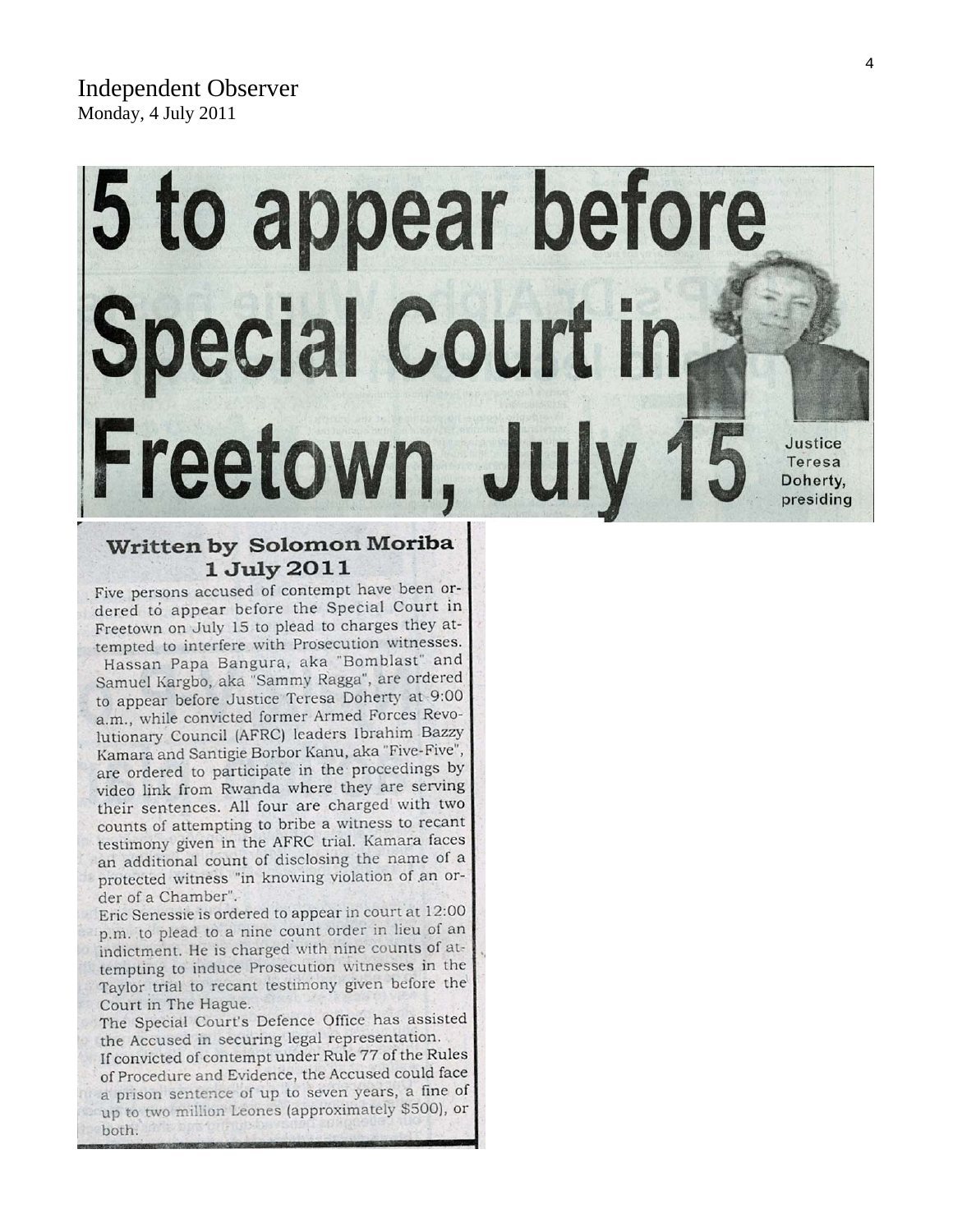## 5 to appear before **Special Court in** Freetown, July 15 Justice Teresa Doherty, presiding

#### Written by Solomon Moriba 1 July 2011

Five persons accused of contempt have been ordered to appear before the Special Court in Freetown on July 15 to plead to charges they attempted to interfere with Prosecution witnesses. Hassan Papa Bangura, aka "Bomblast" and Samuel Kargbo, aka "Sammy Ragga", are ordered to appear before Justice Teresa Doherty at 9:00 a.m., while convicted former Armed Forces Revolutionary Council (AFRC) leaders Ibrahim Bazzy Kamara and Santigie Borbor Kanu, aka "Five-Five", are ordered to participate in the proceedings by video link from Rwanda where they are serving their sentences. All four are charged with two counts of attempting to bribe a witness to recant testimony given in the AFRC trial. Kamara faces an additional count of disclosing the name of a protected witness "in knowing violation of an order of a Chamber".

Eric Senessie is ordered to appear in court at 12:00 p.m. to plead to a nine count order in lieu of an indictment. He is charged with nine counts of attempting to induce Prosecution witnesses in the Taylor trial to recant testimony given before the Court in The Hague.

The Special Court's Defence Office has assisted the Accused in securing legal representation.

If convicted of contempt under Rule 77 of the Rules of Procedure and Evidence, the Accused could face a prison sentence of up to seven years, a fine of up to two million Leones (approximately \$500), or both.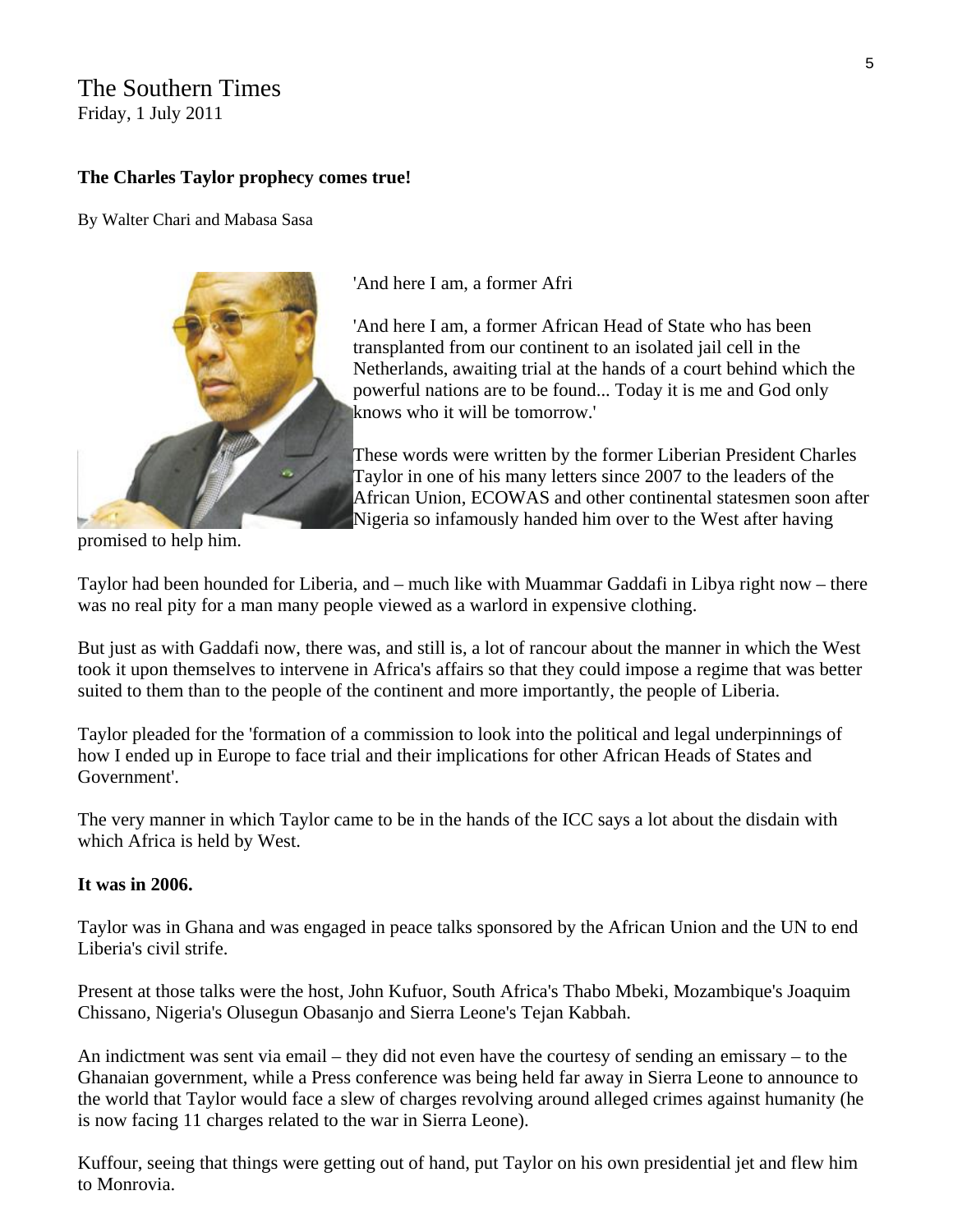### The Southern Times

Friday, 1 July 2011

#### **The Charles Taylor prophecy comes true!**

By Walter Chari and Mabasa Sasa



'And here I am, a former Afri

'And here I am, a former African Head of State who has been transplanted from our continent to an isolated jail cell in the Netherlands, awaiting trial at the hands of a court behind which the powerful nations are to be found... Today it is me and God only knows who it will be tomorrow.'

These words were written by the former Liberian President Charles Taylor in one of his many letters since 2007 to the leaders of the African Union, ECOWAS and other continental statesmen soon after Nigeria so infamously handed him over to the West after having

promised to help him.

Taylor had been hounded for Liberia, and – much like with Muammar Gaddafi in Libya right now – there was no real pity for a man many people viewed as a warlord in expensive clothing.

But just as with Gaddafi now, there was, and still is, a lot of rancour about the manner in which the West took it upon themselves to intervene in Africa's affairs so that they could impose a regime that was better suited to them than to the people of the continent and more importantly, the people of Liberia.

Taylor pleaded for the 'formation of a commission to look into the political and legal underpinnings of how I ended up in Europe to face trial and their implications for other African Heads of States and Government'.

The very manner in which Taylor came to be in the hands of the ICC says a lot about the disdain with which Africa is held by West.

#### **It was in 2006.**

Taylor was in Ghana and was engaged in peace talks sponsored by the African Union and the UN to end Liberia's civil strife.

Present at those talks were the host, John Kufuor, South Africa's Thabo Mbeki, Mozambique's Joaquim Chissano, Nigeria's Olusegun Obasanjo and Sierra Leone's Tejan Kabbah.

An indictment was sent via email – they did not even have the courtesy of sending an emissary – to the Ghanaian government, while a Press conference was being held far away in Sierra Leone to announce to the world that Taylor would face a slew of charges revolving around alleged crimes against humanity (he is now facing 11 charges related to the war in Sierra Leone).

Kuffour, seeing that things were getting out of hand, put Taylor on his own presidential jet and flew him to Monrovia.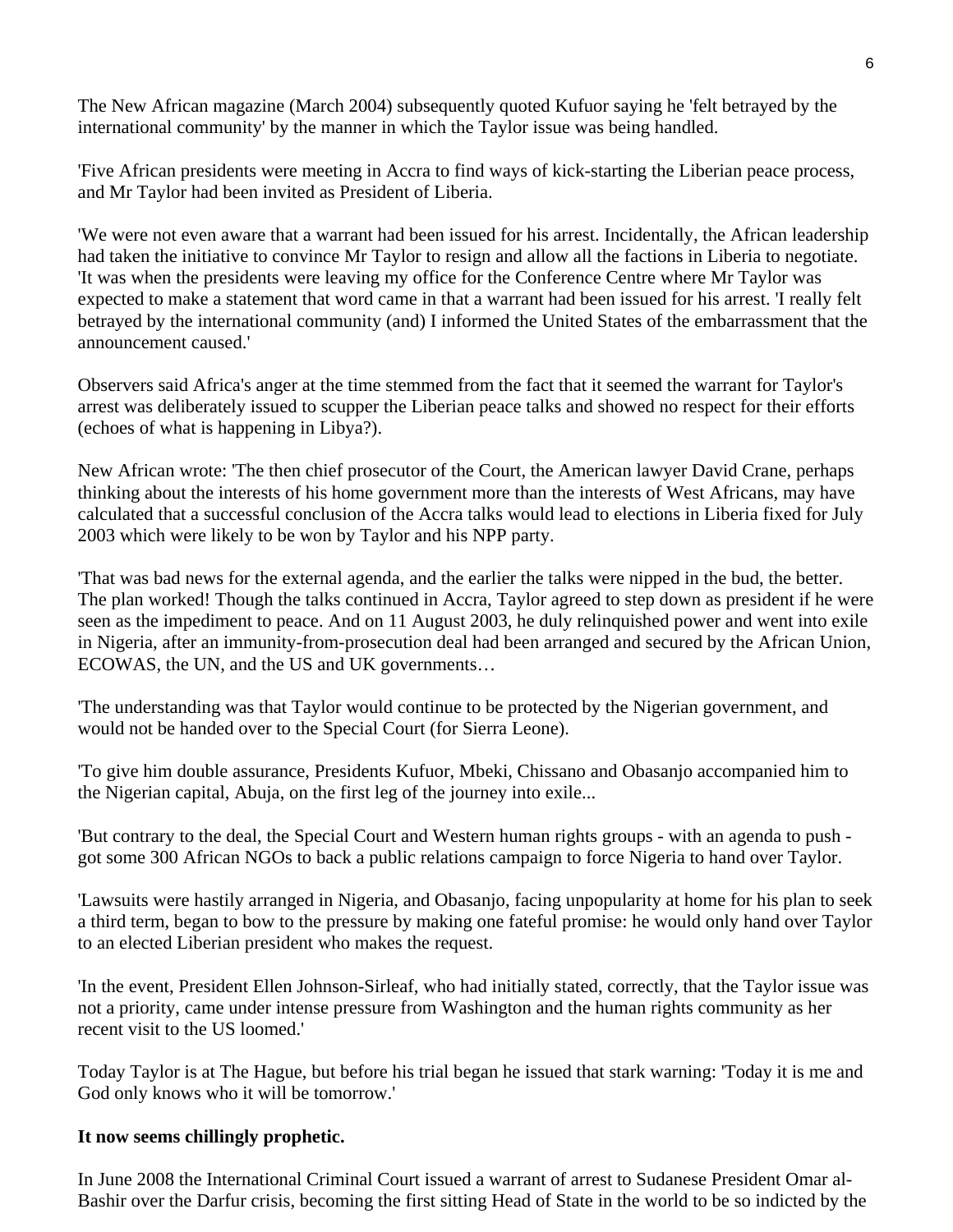The New African magazine (March 2004) subsequently quoted Kufuor saying he 'felt betrayed by the international community' by the manner in which the Taylor issue was being handled.

'Five African presidents were meeting in Accra to find ways of kick-starting the Liberian peace process, and Mr Taylor had been invited as President of Liberia.

'We were not even aware that a warrant had been issued for his arrest. Incidentally, the African leadership had taken the initiative to convince Mr Taylor to resign and allow all the factions in Liberia to negotiate. 'It was when the presidents were leaving my office for the Conference Centre where Mr Taylor was expected to make a statement that word came in that a warrant had been issued for his arrest. 'I really felt betrayed by the international community (and) I informed the United States of the embarrassment that the announcement caused.'

Observers said Africa's anger at the time stemmed from the fact that it seemed the warrant for Taylor's arrest was deliberately issued to scupper the Liberian peace talks and showed no respect for their efforts (echoes of what is happening in Libya?).

New African wrote: 'The then chief prosecutor of the Court, the American lawyer David Crane, perhaps thinking about the interests of his home government more than the interests of West Africans, may have calculated that a successful conclusion of the Accra talks would lead to elections in Liberia fixed for July 2003 which were likely to be won by Taylor and his NPP party.

'That was bad news for the external agenda, and the earlier the talks were nipped in the bud, the better. The plan worked! Though the talks continued in Accra, Taylor agreed to step down as president if he were seen as the impediment to peace. And on 11 August 2003, he duly relinquished power and went into exile in Nigeria, after an immunity-from-prosecution deal had been arranged and secured by the African Union, ECOWAS, the UN, and the US and UK governments…

'The understanding was that Taylor would continue to be protected by the Nigerian government, and would not be handed over to the Special Court (for Sierra Leone).

'To give him double assurance, Presidents Kufuor, Mbeki, Chissano and Obasanjo accompanied him to the Nigerian capital, Abuja, on the first leg of the journey into exile...

'But contrary to the deal, the Special Court and Western human rights groups - with an agenda to push got some 300 African NGOs to back a public relations campaign to force Nigeria to hand over Taylor.

'Lawsuits were hastily arranged in Nigeria, and Obasanjo, facing unpopularity at home for his plan to seek a third term, began to bow to the pressure by making one fateful promise: he would only hand over Taylor to an elected Liberian president who makes the request.

'In the event, President Ellen Johnson-Sirleaf, who had initially stated, correctly, that the Taylor issue was not a priority, came under intense pressure from Washington and the human rights community as her recent visit to the US loomed.'

Today Taylor is at The Hague, but before his trial began he issued that stark warning: 'Today it is me and God only knows who it will be tomorrow.'

#### **It now seems chillingly prophetic.**

In June 2008 the International Criminal Court issued a warrant of arrest to Sudanese President Omar al-Bashir over the Darfur crisis, becoming the first sitting Head of State in the world to be so indicted by the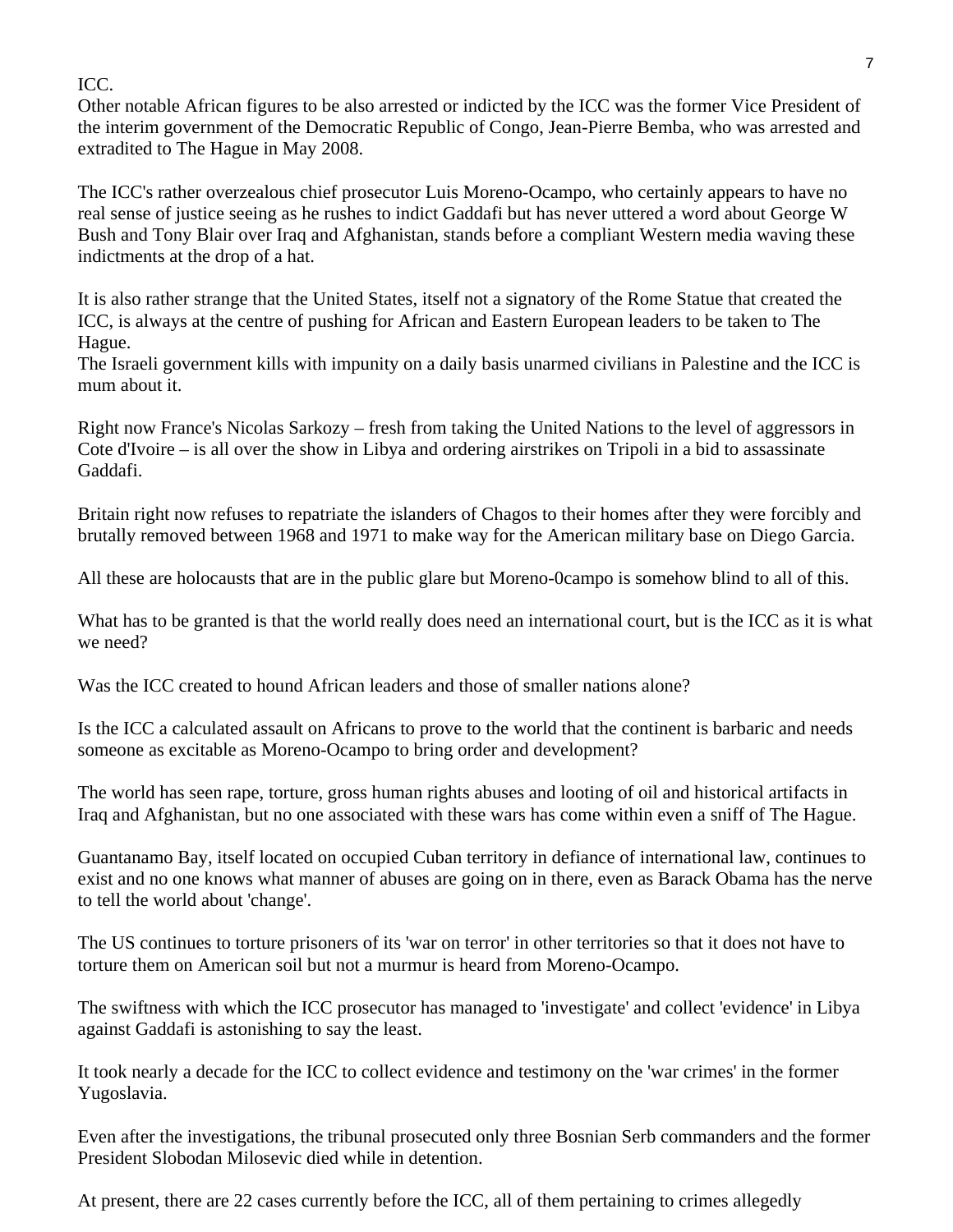#### ICC.

Other notable African figures to be also arrested or indicted by the ICC was the former Vice President of the interim government of the Democratic Republic of Congo, Jean-Pierre Bemba, who was arrested and extradited to The Hague in May 2008.

The ICC's rather overzealous chief prosecutor Luis Moreno-Ocampo, who certainly appears to have no real sense of justice seeing as he rushes to indict Gaddafi but has never uttered a word about George W Bush and Tony Blair over Iraq and Afghanistan, stands before a compliant Western media waving these indictments at the drop of a hat.

It is also rather strange that the United States, itself not a signatory of the Rome Statue that created the ICC, is always at the centre of pushing for African and Eastern European leaders to be taken to The Hague.

The Israeli government kills with impunity on a daily basis unarmed civilians in Palestine and the ICC is mum about it.

Right now France's Nicolas Sarkozy – fresh from taking the United Nations to the level of aggressors in Cote d'Ivoire – is all over the show in Libya and ordering airstrikes on Tripoli in a bid to assassinate Gaddafi.

Britain right now refuses to repatriate the islanders of Chagos to their homes after they were forcibly and brutally removed between 1968 and 1971 to make way for the American military base on Diego Garcia.

All these are holocausts that are in the public glare but Moreno-0campo is somehow blind to all of this.

What has to be granted is that the world really does need an international court, but is the ICC as it is what we need?

Was the ICC created to hound African leaders and those of smaller nations alone?

Is the ICC a calculated assault on Africans to prove to the world that the continent is barbaric and needs someone as excitable as Moreno-Ocampo to bring order and development?

The world has seen rape, torture, gross human rights abuses and looting of oil and historical artifacts in Iraq and Afghanistan, but no one associated with these wars has come within even a sniff of The Hague.

Guantanamo Bay, itself located on occupied Cuban territory in defiance of international law, continues to exist and no one knows what manner of abuses are going on in there, even as Barack Obama has the nerve to tell the world about 'change'.

The US continues to torture prisoners of its 'war on terror' in other territories so that it does not have to torture them on American soil but not a murmur is heard from Moreno-Ocampo.

The swiftness with which the ICC prosecutor has managed to 'investigate' and collect 'evidence' in Libya against Gaddafi is astonishing to say the least.

It took nearly a decade for the ICC to collect evidence and testimony on the 'war crimes' in the former Yugoslavia.

Even after the investigations, the tribunal prosecuted only three Bosnian Serb commanders and the former President Slobodan Milosevic died while in detention.

At present, there are 22 cases currently before the ICC, all of them pertaining to crimes allegedly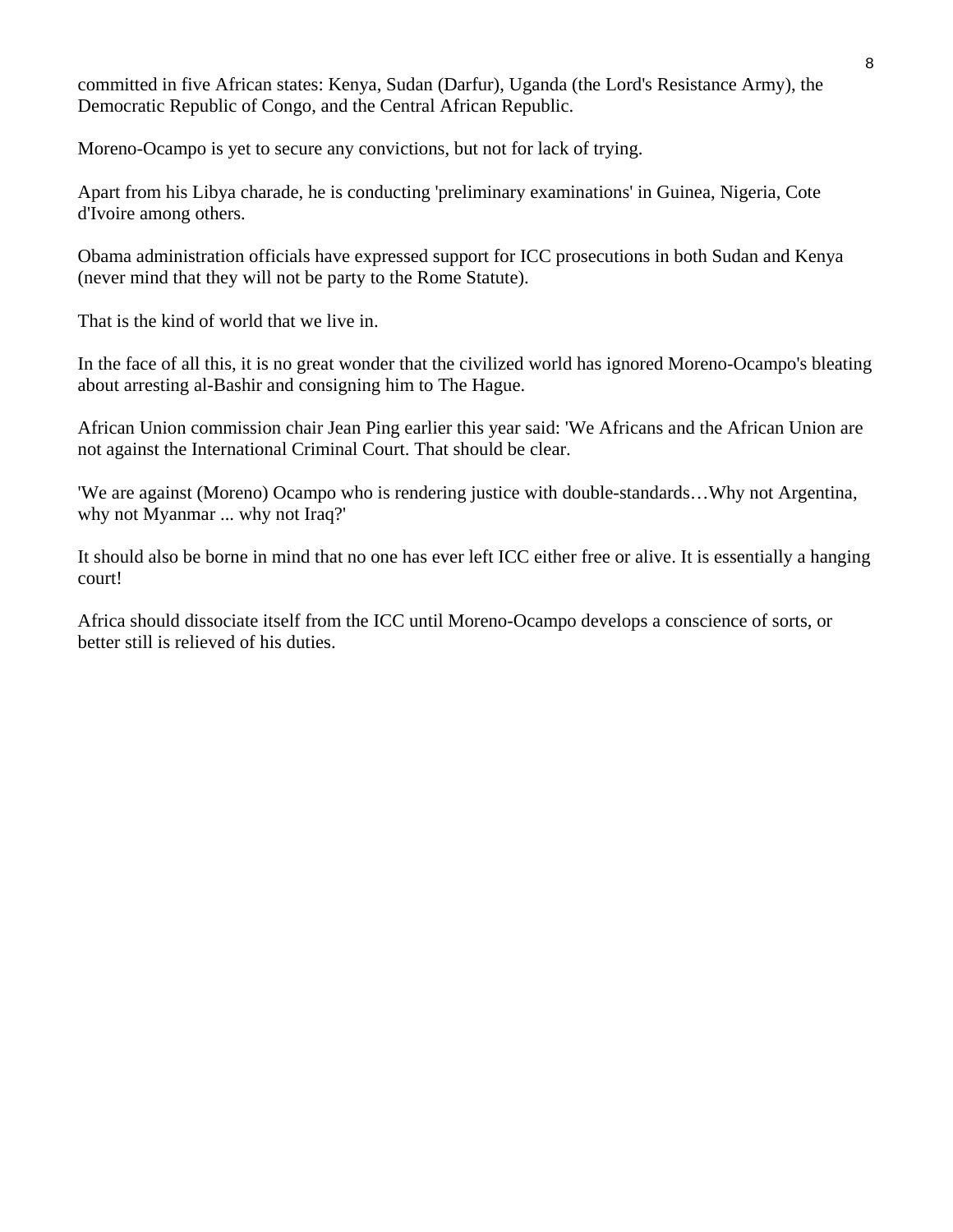committed in five African states: Kenya, Sudan (Darfur), Uganda (the Lord's Resistance Army), the Democratic Republic of Congo, and the Central African Republic.

Moreno-Ocampo is yet to secure any convictions, but not for lack of trying.

Apart from his Libya charade, he is conducting 'preliminary examinations' in Guinea, Nigeria, Cote d'Ivoire among others.

Obama administration officials have expressed support for ICC prosecutions in both Sudan and Kenya (never mind that they will not be party to the Rome Statute).

That is the kind of world that we live in.

In the face of all this, it is no great wonder that the civilized world has ignored Moreno-Ocampo's bleating about arresting al-Bashir and consigning him to The Hague.

African Union commission chair Jean Ping earlier this year said: 'We Africans and the African Union are not against the International Criminal Court. That should be clear.

'We are against (Moreno) Ocampo who is rendering justice with double-standards…Why not Argentina, why not Myanmar ... why not Iraq?'

It should also be borne in mind that no one has ever left ICC either free or alive. It is essentially a hanging court!

Africa should dissociate itself from the ICC until Moreno-Ocampo develops a conscience of sorts, or better still is relieved of his duties.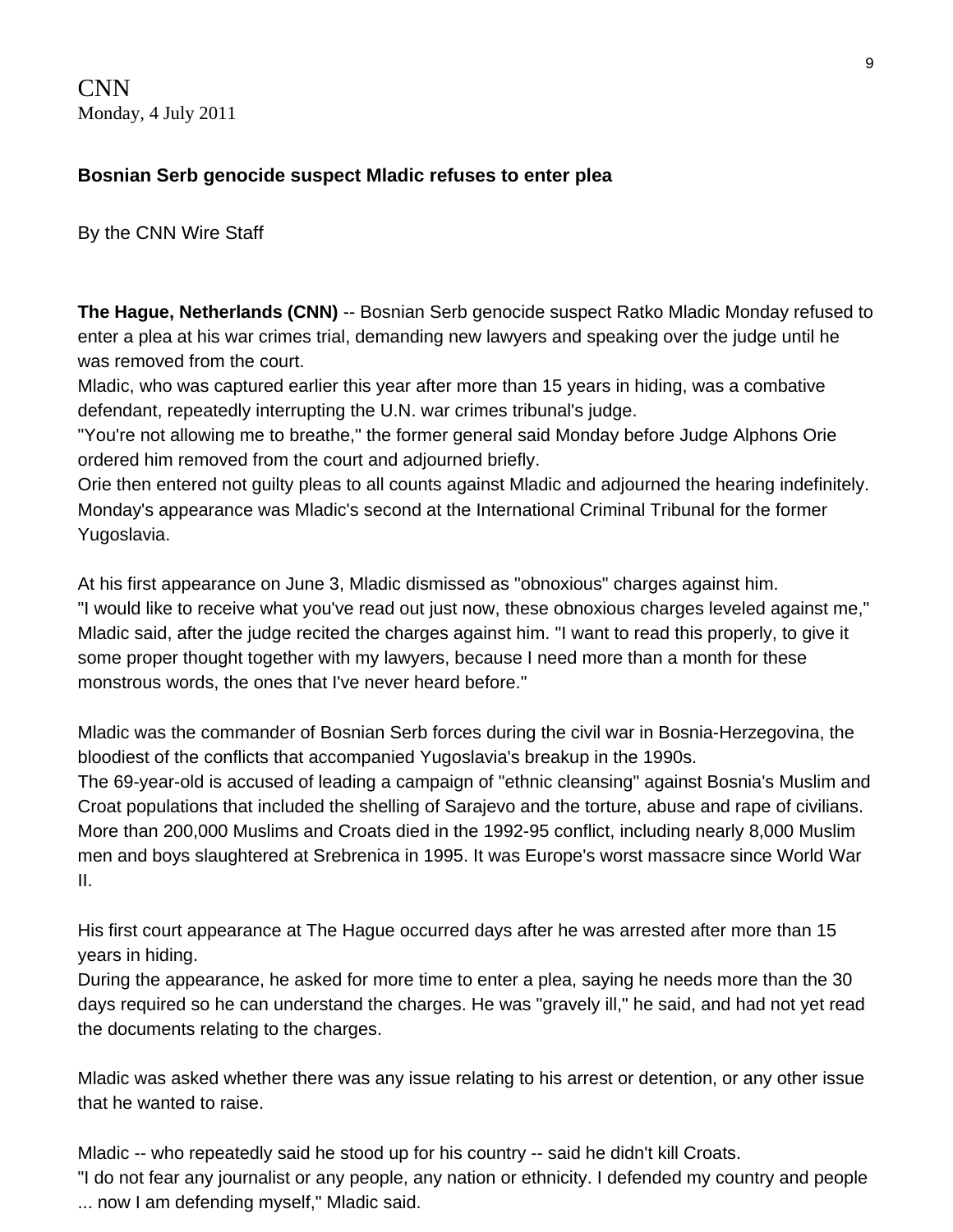CNN Monday, 4 July 2011

#### **Bosnian Serb genocide suspect Mladic refuses to enter plea**

By the CNN Wire Staff

**The Hague, Netherlands (CNN)** -- Bosnian Serb genocide suspect Ratko Mladic Monday refused to enter a plea at his war crimes trial, demanding new lawyers and speaking over the judge until he was removed from the court.

Mladic, who was captured earlier this year after more than 15 years in hiding, was a combative defendant, repeatedly interrupting the U.N. war crimes tribunal's judge.

"You're not allowing me to breathe," the former general said Monday before Judge Alphons Orie ordered him removed from the court and adjourned briefly.

Orie then entered not guilty pleas to all counts against Mladic and adjourned the hearing indefinitely. Monday's appearance was Mladic's second at the International Criminal Tribunal for the former Yugoslavia.

At his first appearance on June 3, Mladic dismissed as "obnoxious" charges against him. "I would like to receive what you've read out just now, these obnoxious charges leveled against me," Mladic said, after the judge recited the charges against him. "I want to read this properly, to give it some proper thought together with my lawyers, because I need more than a month for these monstrous words, the ones that I've never heard before."

Mladic was the commander of Bosnian Serb forces during the civil war in Bosnia-Herzegovina, the bloodiest of the conflicts that accompanied Yugoslavia's breakup in the 1990s.

The 69-year-old is accused of leading a campaign of "ethnic cleansing" against Bosnia's Muslim and Croat populations that included the shelling of Sarajevo and the torture, abuse and rape of civilians. More than 200,000 Muslims and Croats died in the 1992-95 conflict, including nearly 8,000 Muslim men and boys slaughtered at Srebrenica in 1995. It was Europe's worst massacre since World War II.

His first court appearance at The Hague occurred days after he was arrested after more than 15 years in hiding.

During the appearance, he asked for more time to enter a plea, saying he needs more than the 30 days required so he can understand the charges. He was "gravely ill," he said, and had not yet read the documents relating to the charges.

Mladic was asked whether there was any issue relating to his arrest or detention, or any other issue that he wanted to raise.

Mladic -- who repeatedly said he stood up for his country -- said he didn't kill Croats.

"I do not fear any journalist or any people, any nation or ethnicity. I defended my country and people ... now I am defending myself," Mladic said.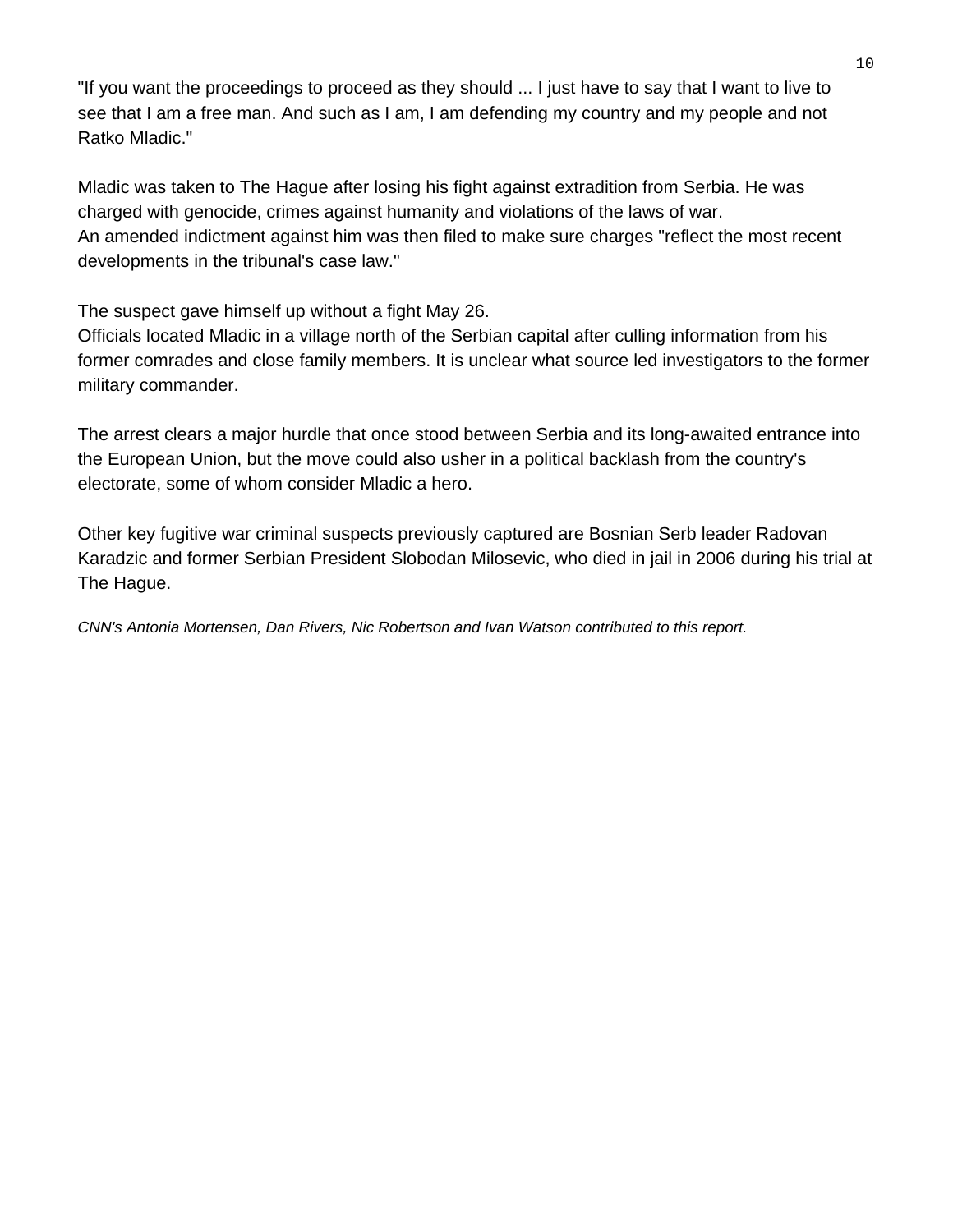"If you want the proceedings to proceed as they should ... I just have to say that I want to live to see that I am a free man. And such as I am, I am defending my country and my people and not Ratko Mladic."

Mladic was taken to The Hague after losing his fight against extradition from Serbia. He was charged with genocide, crimes against humanity and violations of the laws of war. An amended indictment against him was then filed to make sure charges "reflect the most recent developments in the tribunal's case law."

The suspect gave himself up without a fight May 26.

Officials located Mladic in a village north of the Serbian capital after culling information from his former comrades and close family members. It is unclear what source led investigators to the former military commander.

The arrest clears a major hurdle that once stood between Serbia and its long-awaited entrance into the European Union, but the move could also usher in a political backlash from the country's electorate, some of whom consider Mladic a hero.

Other key fugitive war criminal suspects previously captured are Bosnian Serb leader Radovan Karadzic and former Serbian President Slobodan Milosevic, who died in jail in 2006 during his trial at The Hague.

*CNN's Antonia Mortensen, Dan Rivers, Nic Robertson and Ivan Watson contributed to this report.*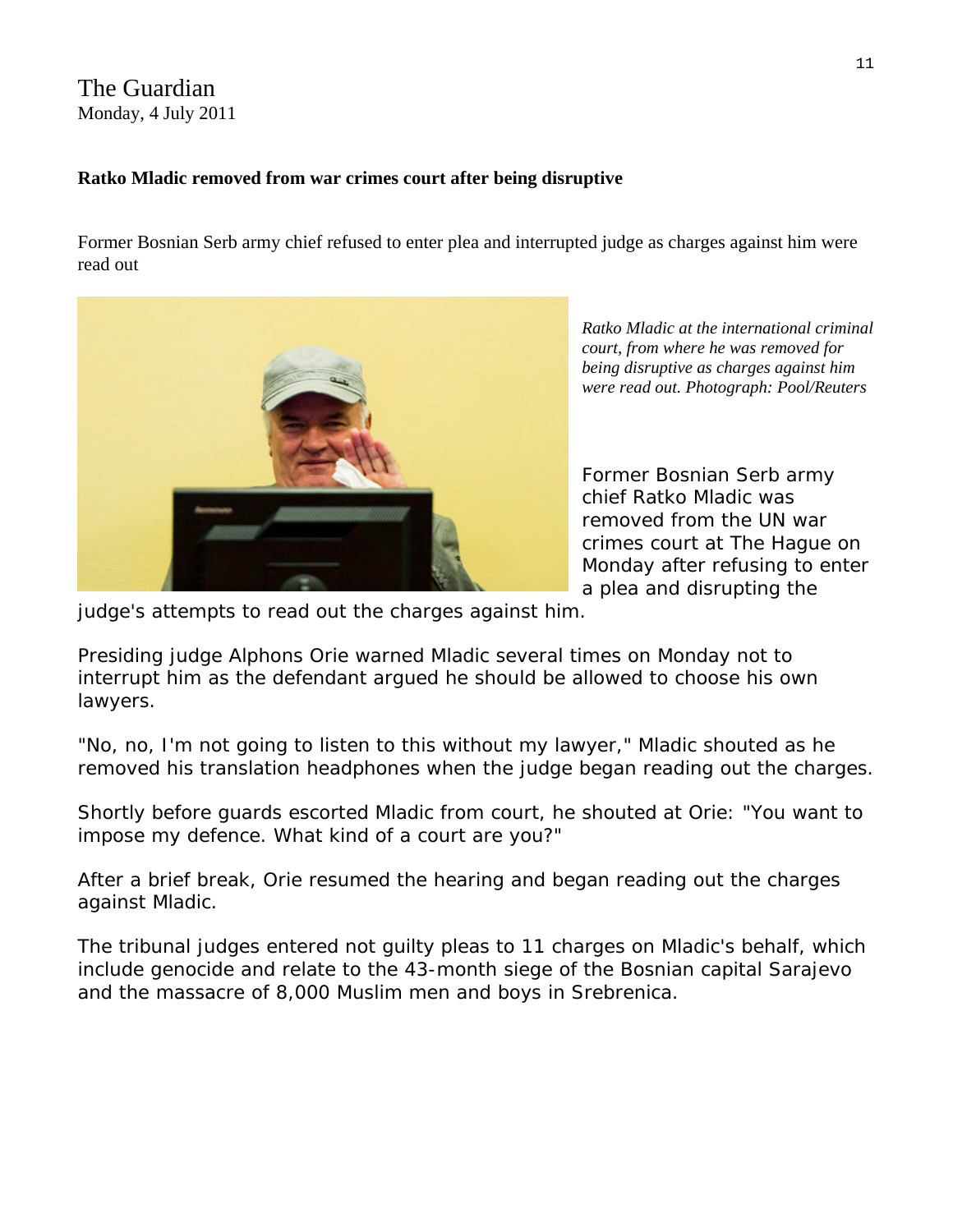#### The Guardian Monday, 4 July 2011

#### **Ratko Mladic removed from war crimes court after being disruptive**

Former Bosnian Serb army chief refused to enter plea and interrupted judge as charges against him were read out



**Ratko Mladic at the international criminal** *or court, from where he was removed f being disruptive as charges against him were read out. Photograph: Pool/Reuters* 

Former Bosnian Serb army removed from the UN war crimes court at The Hague on chief Ratko Mladic was Monday after refusing to enter a plea and disrupting the

judge's attempts to read out the charges against him.

Presiding judge Alphons Orie warned Mladic several times on Monday not to interrupt him as the defendant argued he should be allowed to choose his own lawyers.

"No, no, I'm not going to listen to this without my lawyer," Mladic shouted as he removed his translation headphones when the judge began reading out the charges.

Shortly before guards escorted Mladic from court, he shouted at Orie: "You want to impose my defence. What kind of a court are you?"

After a brief break, Orie resumed the hearing and began reading out the charges against Mladic.

The tribunal judges entered not guilty pleas to 11 charges on Mladic's behalf, which include genocide and relate to the 43-month siege of the Bosnian capital Sarajevo and the massacre of 8,000 Muslim men and boys in Srebrenica.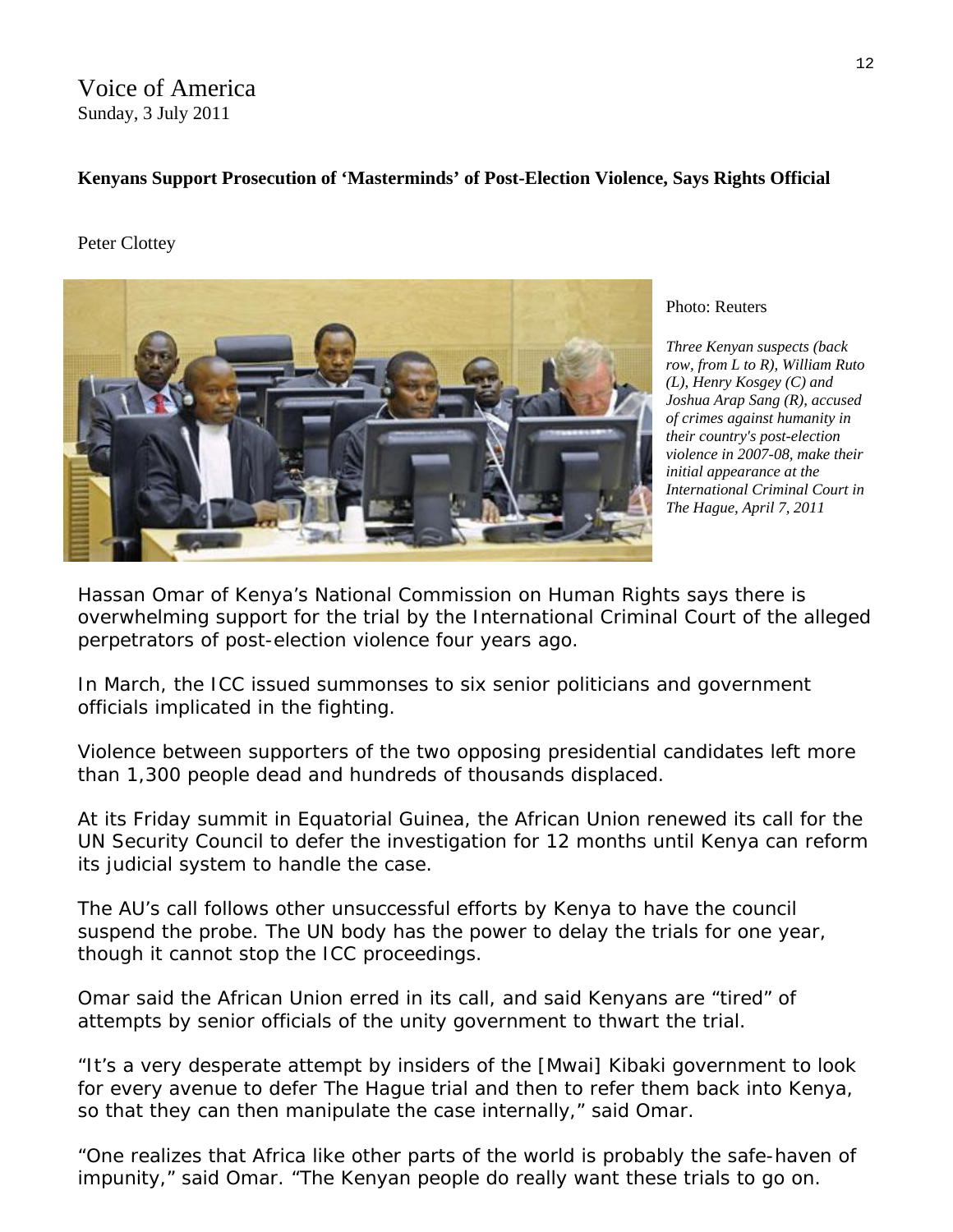Voice of America Sunday, 3 July 2011

#### **Kenyans Support Prosecution of 'Masterminds' of Post-Election Violence, Says Rights Official**

#### Peter Clottey



Photo: Reuters

*Three Kenyan suspects (back row, from L to R), William Ruto (L), Henry Kosgey (C) and Joshua Arap Sang (R), accused of crimes against humanity in their country's post-election violence in 2007-08, make their initial appearance at the International Criminal Court in The Hague, April 7, 2011* 

Hassan Omar of Kenya's National Commission on Human Rights says there is overwhelming support for the trial by the International Criminal Court of the alleged perpetrators of post-election violence four years ago.

In March, the ICC issued summonses to six senior politicians and government officials implicated in the fighting.

Violence between supporters of the two opposing presidential candidates left more than 1,300 people dead and hundreds of thousands displaced.

At its Friday summit in Equatorial Guinea, the African Union renewed its call for the UN Security Council to defer the investigation for 12 months until Kenya can reform its judicial system to handle the case.

The AU's call follows other unsuccessful efforts by Kenya to have the council suspend the probe. The UN body has the power to delay the trials for one year, though it cannot stop the ICC proceedings.

Omar said the African Union erred in its call, and said Kenyans are "tired" of attempts by senior officials of the unity government to thwart the trial.

"It's a very desperate attempt by insiders of the [Mwai] Kibaki government to look for every avenue to defer The Hague trial and then to refer them back into Kenya, so that they can then manipulate the case internally," said Omar.

"One realizes that Africa like other parts of the world is probably the safe-haven of impunity," said Omar. "The Kenyan people do really want these trials to go on.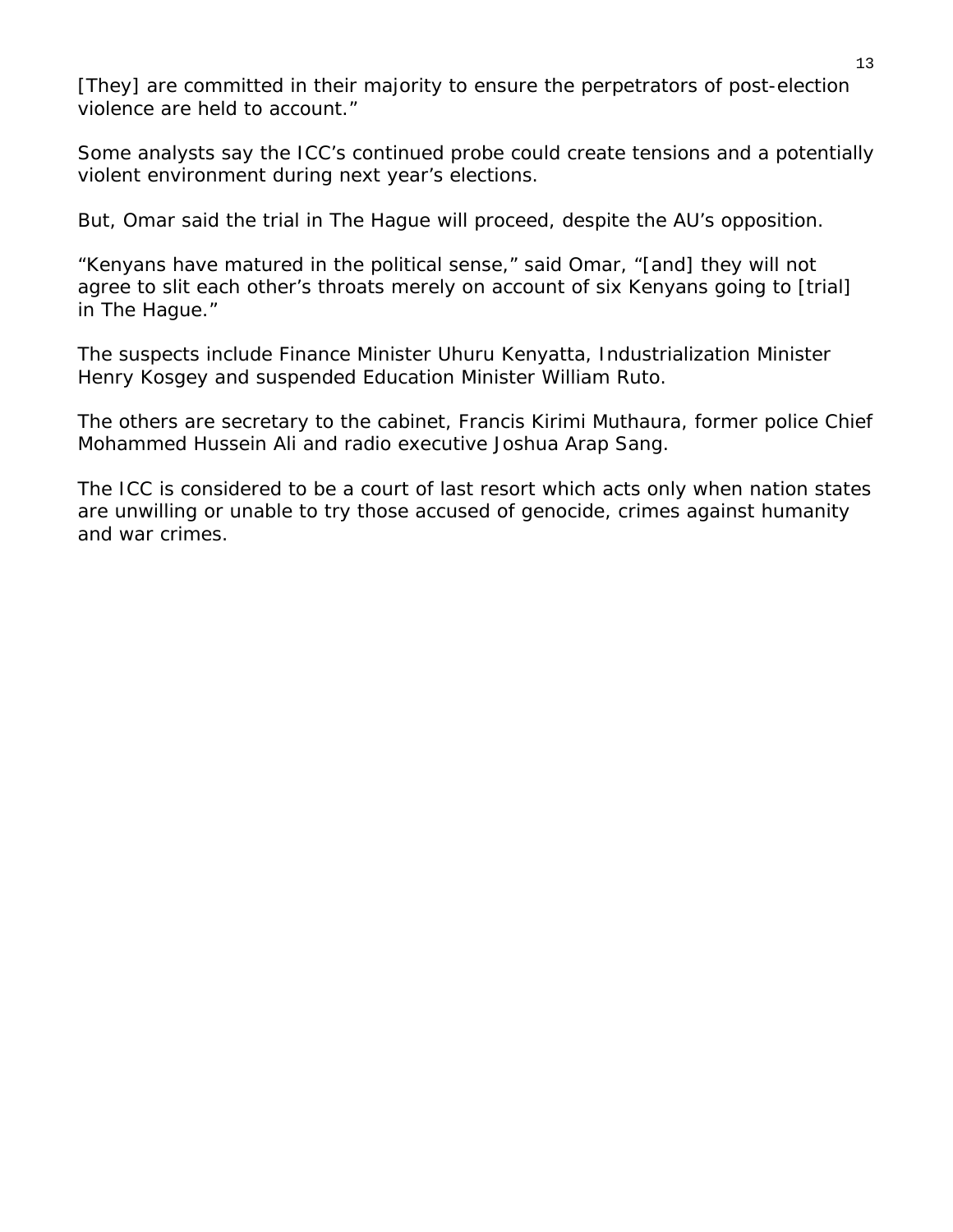[They] are committed in their majority to ensure the perpetrators of post-election violence are held to account."

Some analysts say the ICC's continued probe could create tensions and a potentially violent environment during next year's elections.

But, Omar said the trial in The Hague will proceed, despite the AU's opposition.

"Kenyans have matured in the political sense," said Omar, "[and] they will not agree to slit each other's throats merely on account of six Kenyans going to [trial] in The Hague."

The suspects include Finance Minister Uhuru Kenyatta, Industrialization Minister Henry Kosgey and suspended Education Minister William Ruto.

The others are secretary to the cabinet, Francis Kirimi Muthaura, former police Chief Mohammed Hussein Ali and radio executive Joshua Arap Sang.

The ICC is considered to be a court of last resort which acts only when nation states are unwilling or unable to try those accused of genocide, crimes against humanity and war crimes.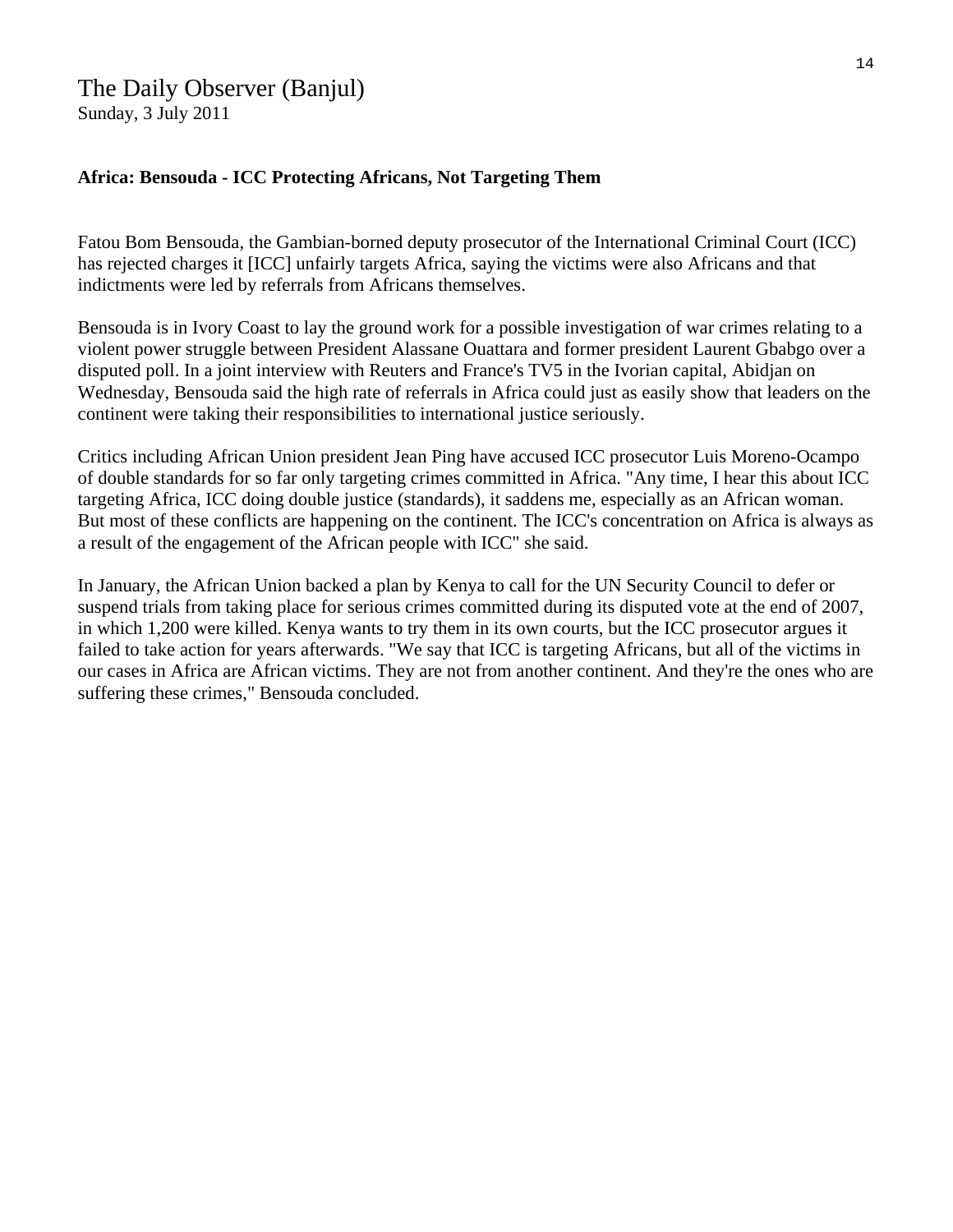#### The Daily Observer (Banjul) Sunday, 3 July 2011

#### **Africa: Bensouda - ICC Protecting Africans, Not Targeting Them**

Fatou Bom Bensouda, the Gambian-borned deputy prosecutor of the International Criminal Court (ICC) has rejected charges it [ICC] unfairly targets Africa, saying the victims were also Africans and that indictments were led by referrals from Africans themselves.

Bensouda is in Ivory Coast to lay the ground work for a possible investigation of war crimes relating to a violent power struggle between President Alassane Ouattara and former president Laurent Gbabgo over a disputed poll. In a joint interview with Reuters and France's TV5 in the Ivorian capital, Abidjan on Wednesday, Bensouda said the high rate of referrals in Africa could just as easily show that leaders on the continent were taking their responsibilities to international justice seriously.

Critics including African Union president Jean Ping have accused ICC prosecutor Luis Moreno-Ocampo of double standards for so far only targeting crimes committed in Africa. "Any time, I hear this about ICC targeting Africa, ICC doing double justice (standards), it saddens me, especially as an African woman. But most of these conflicts are happening on the continent. The ICC's concentration on Africa is always as a result of the engagement of the African people with ICC" she said.

In January, the African Union backed a plan by Kenya to call for the UN Security Council to defer or suspend trials from taking place for serious crimes committed during its disputed vote at the end of 2007, in which 1,200 were killed. Kenya wants to try them in its own courts, but the ICC prosecutor argues it failed to take action for years afterwards. "We say that ICC is targeting Africans, but all of the victims in our cases in Africa are African victims. They are not from another continent. And they're the ones who are suffering these crimes," Bensouda concluded.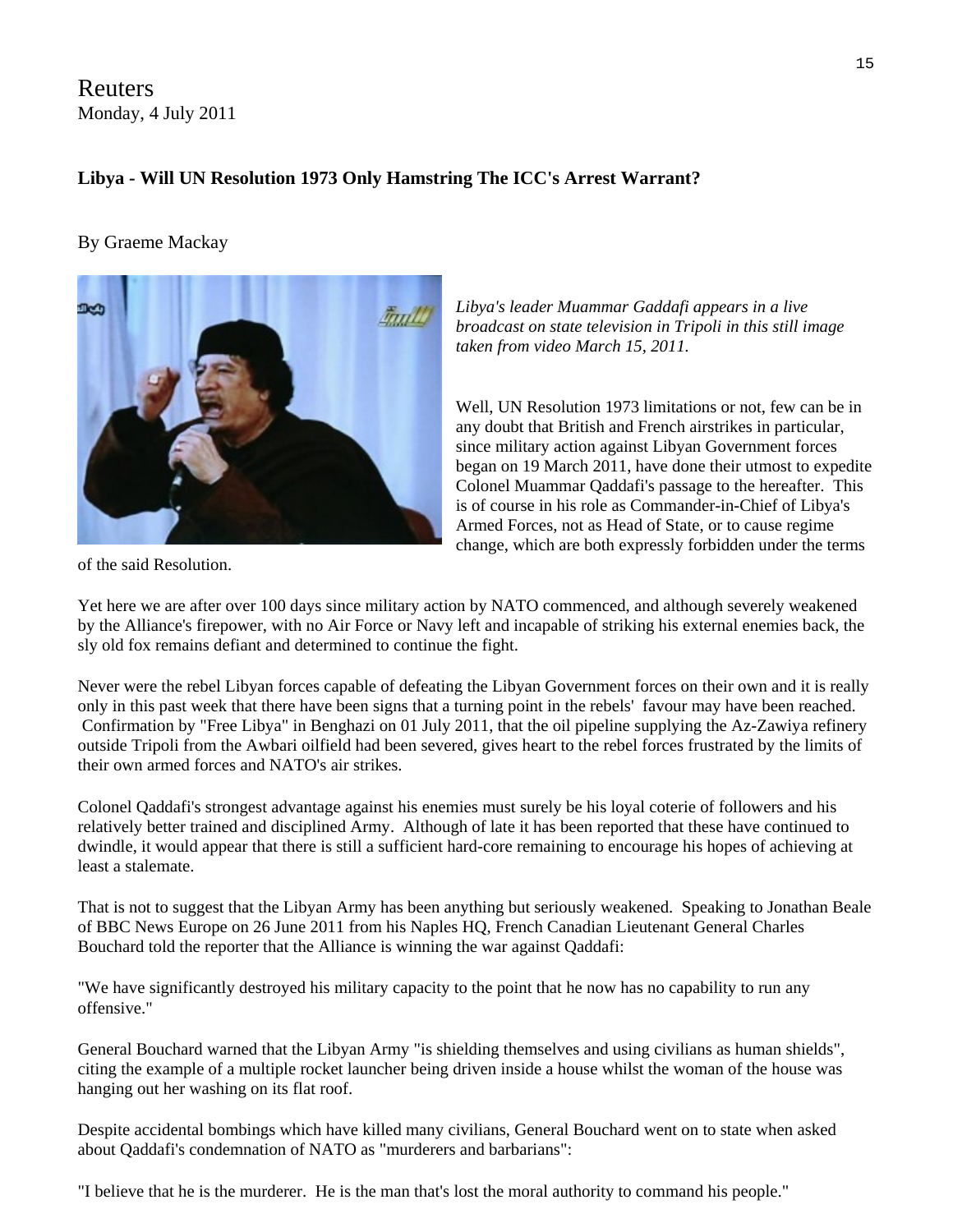Reuters Monday, 4 July 2011

#### **Libya - Will UN Resolution 1973 Only Hamstring The ICC's Arrest Warrant?**

#### By Graeme Mackay

*Libya's leader Muammar Gaddafi appears in a live broadcast on state television in Tripoli in this still image taken from video March 15, 2011.* 

Well, UN Resolution 1973 limitations or not, few can be in any doubt that British and French airstrikes in particular, since military action against [Libya](http://uk.ibtimes.com/topics/detail/533/libya/)n Government forces began on 19 March 2011, have done their utmost to expedite Colonel Muammar Qaddafi's passage to the hereafter. This is of course in his role as Commander-in-Chief of [Libya](http://uk.ibtimes.com/topics/detail/533/libya/)'s Armed Forces, not as Head of State, or to cause regime change, which are both expressly forbidden under the terms

of the said Resolution.

Yet here we are after over 100 days since military action by NATO commenced, and although severely weakened by the Alliance's firepower, with no Air Force or Navy left and incapable of striking his external enemies back, the sly old fox remains defiant and determined to continue the fight.

Never were the rebel Libyan forces capable of defeating the Libyan Government forces on their own and it is really only in this past week that there have been signs that a turning point in the rebels' favour may have been reached. Confirmation by "Free Libya" in Benghazi on 01 July 2011, that the oil pipeline supplying the Az-Zawiya refinery outside Tripoli from the Awbari oilfield had been severed, gives heart to the rebel forces frustrated by the limits of their own armed forces and NATO's air strikes.

Colonel Qaddafi's strongest advantage against his enemies must surely be his loyal coterie of followers and his relatively better trained and disciplined Army. Although of late it has been reported that these have continued to dwindle, it would appear that there is still a sufficient hard-core remaining to encourage his hopes of achieving at least a stalemate.

That is not to suggest that the Libyan Army has been anything but seriously weakened. Speaking to Jonathan Beale of BBC News Europe on 26 June 2011 from his Naples HQ, French Canadian Lieutenant General Charles Bouchard told the reporter that the Alliance is winning the war against Qaddafi:

"We have significantly destroyed his military capacity to the point that he now has no capability to run any offensive."

General Bouchard warned that the Libyan Army "is shielding themselves and using civilians as human shields", citing the example of a multiple rocket launcher being driven inside a house whilst the woman of the house was hanging out her washing on its flat roof.

Despite accidental bombings which have killed many civilians, General Bouchard went on to state when asked about Qaddafi's condemnation of NATO as "murderers and barbarians":

"I believe that he is the murderer. He is the man that's lost the moral authority to command his people."